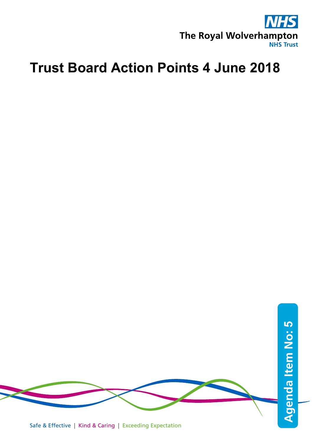

## **Trust Board Action Points 4 June 2018**



Safe & Effective | Kind & Caring | Exceeding Expectation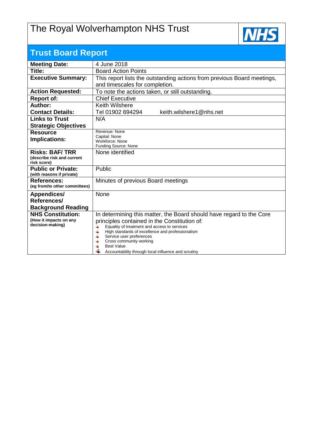## The Royal Wolverhampton NHS Trust



| <b>Trust Board Report</b>                  |                                                                                                            |  |  |  |  |
|--------------------------------------------|------------------------------------------------------------------------------------------------------------|--|--|--|--|
| <b>Meeting Date:</b>                       | 4 June 2018                                                                                                |  |  |  |  |
| Title:                                     | <b>Board Action Points</b>                                                                                 |  |  |  |  |
| <b>Executive Summary:</b>                  | This report lists the outstanding actions from previous Board meetings,                                    |  |  |  |  |
|                                            | and timescales for completion.                                                                             |  |  |  |  |
| <b>Action Requested:</b>                   | To note the actions taken, or still outstanding.                                                           |  |  |  |  |
| <b>Report of:</b>                          | <b>Chief Executive</b>                                                                                     |  |  |  |  |
| Author:                                    | Keith Wilshere                                                                                             |  |  |  |  |
| <b>Contact Details:</b>                    | Tel 01902 694294<br>keith.wilshere1@nhs.net                                                                |  |  |  |  |
| <b>Links to Trust</b>                      | N/A                                                                                                        |  |  |  |  |
| <b>Strategic Objectives</b>                |                                                                                                            |  |  |  |  |
| <b>Resource</b>                            | Revenue: None                                                                                              |  |  |  |  |
| Implications:                              | Capital: None<br>Workforce: None                                                                           |  |  |  |  |
|                                            | Funding Source: None                                                                                       |  |  |  |  |
| <b>Risks: BAF/TRR</b>                      | None identified                                                                                            |  |  |  |  |
| (describe risk and current<br>risk score)  |                                                                                                            |  |  |  |  |
| <b>Public or Private:</b>                  | Public                                                                                                     |  |  |  |  |
| (with reasons if private)                  |                                                                                                            |  |  |  |  |
| <b>References:</b>                         | Minutes of previous Board meetings                                                                         |  |  |  |  |
| (eg from/to other committees)              |                                                                                                            |  |  |  |  |
| <b>Appendices/</b>                         | None                                                                                                       |  |  |  |  |
| References/                                |                                                                                                            |  |  |  |  |
| <b>Background Reading</b>                  |                                                                                                            |  |  |  |  |
| <b>NHS Constitution:</b>                   | In determining this matter, the Board should have regard to the Core                                       |  |  |  |  |
| (How it impacts on any<br>decision-making) | principles contained in the Constitution of:                                                               |  |  |  |  |
|                                            | Equality of treatment and access to services<br>4<br>4<br>High standards of excellence and professionalism |  |  |  |  |
|                                            | 4<br>Service user preferences                                                                              |  |  |  |  |
|                                            | Cross community working<br>4<br><b>Best Value</b>                                                          |  |  |  |  |
|                                            | Accountability through local influence and scrutiny                                                        |  |  |  |  |